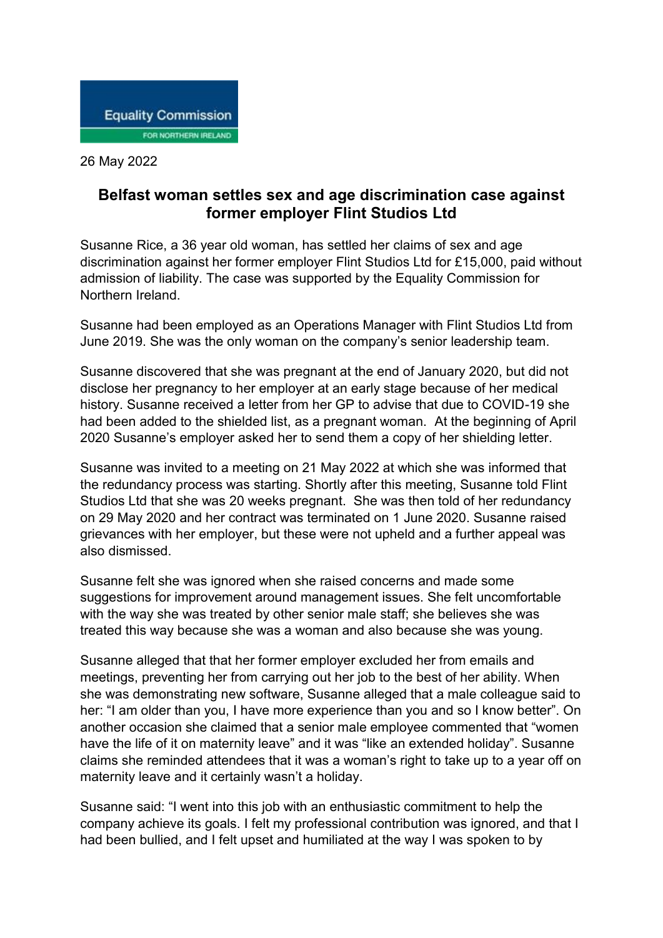

26 May 2022

## **Belfast woman settles sex and age discrimination case against former employer Flint Studios Ltd**

Susanne Rice, a 36 year old woman, has settled her claims of sex and age discrimination against her former employer Flint Studios Ltd for £15,000, paid without admission of liability. The case was supported by the Equality Commission for Northern Ireland.

Susanne had been employed as an Operations Manager with Flint Studios Ltd from June 2019. She was the only woman on the company's senior leadership team.

Susanne discovered that she was pregnant at the end of January 2020, but did not disclose her pregnancy to her employer at an early stage because of her medical history. Susanne received a letter from her GP to advise that due to COVID-19 she had been added to the shielded list, as a pregnant woman. At the beginning of April 2020 Susanne's employer asked her to send them a copy of her shielding letter.

Susanne was invited to a meeting on 21 May 2022 at which she was informed that the redundancy process was starting. Shortly after this meeting, Susanne told Flint Studios Ltd that she was 20 weeks pregnant. She was then told of her redundancy on 29 May 2020 and her contract was terminated on 1 June 2020. Susanne raised grievances with her employer, but these were not upheld and a further appeal was also dismissed.

Susanne felt she was ignored when she raised concerns and made some suggestions for improvement around management issues. She felt uncomfortable with the way she was treated by other senior male staff; she believes she was treated this way because she was a woman and also because she was young.

Susanne alleged that that her former employer excluded her from emails and meetings, preventing her from carrying out her job to the best of her ability. When she was demonstrating new software, Susanne alleged that a male colleague said to her: "I am older than you, I have more experience than you and so I know better". On another occasion she claimed that a senior male employee commented that "women have the life of it on maternity leave" and it was "like an extended holiday". Susanne claims she reminded attendees that it was a woman's right to take up to a year off on maternity leave and it certainly wasn't a holiday.

Susanne said: "I went into this job with an enthusiastic commitment to help the company achieve its goals. I felt my professional contribution was ignored, and that I had been bullied, and I felt upset and humiliated at the way I was spoken to by